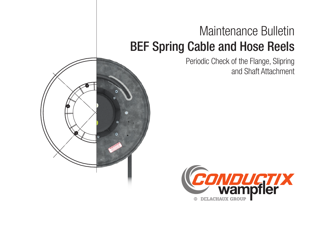## Maintenance Bulletin BEF Spring Cable and Hose Reels

Periodic Check of the Flange, Slipring and Shaft Attachment



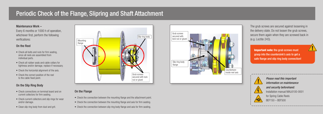## Periodic Check of the Flange, Slipring and Shaft Attachment

Important note: the grub screws must grasp into the countersink's axis to get a safe flange and slip ring body connection!









The grub screws are secured against loosening in the delivery state. Do not loosen the grub screws, secure them again when they are screwed back in (e.g. Loctite 243).

- Check all bolts and nuts for firm seating. since all reels are assembled from individual parts.
- Check all rubber seals and cable collars for tightness and/or damage, replace if necessary.
- Check the horizontal alignment of the axis.
- Check the correct position of the reel to the cable fixed point.

Please read this important information on maintenance and security beforehand: Installation manual MAL6100-0001



for Spring Cable Reels BEF150 – BEF500

- Check the connection between the mounting flange and the attachment point.
- Check the connection between the mounting flange and axis for firm seating.
- Check the connection between slip ring body flange and axis for firm seating.

#### Maintenance Work –

Every 6 months or 1000 h of operation, whichever first, perform the following verifications:

#### On the Reel

### On the Slip Ring Body

- Check connections on terminal board and on current collectors for firm seating.
- Check current collectors and slip rings for wear and/or damage.
- Clean slip ring body from dust and grit.

#### On the Flange